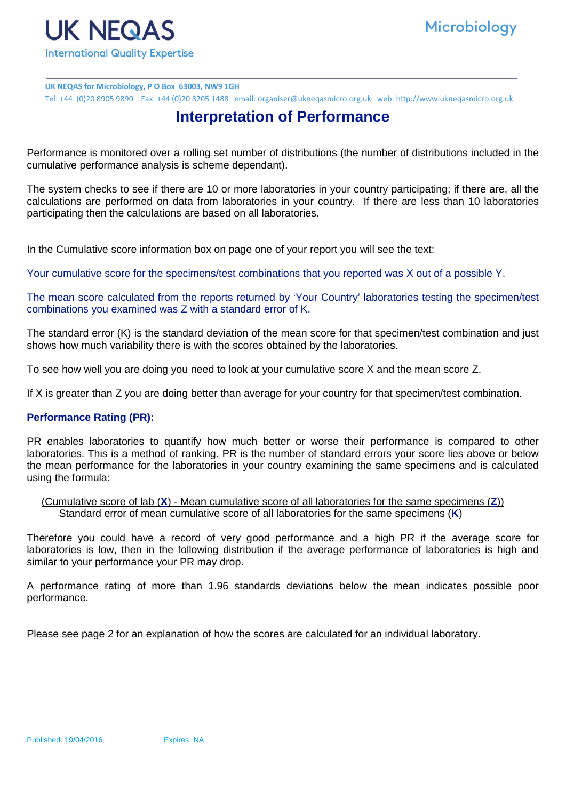

**UK NEQAS for Microbiology, P O Box 63003, NW9 1GH** Tel: +44 (0)20 8905 9890 Fax: +44 (0)20 8205 1488 email: organiser@ukneqasmicro.org.uk web: http://www.ukneqasmicro.org.uk

## **Interpretation of Performance**

Performance is monitored over a rolling set number of distributions (the number of distributions included in the cumulative performance analysis is scheme dependant).

The system checks to see if there are 10 or more laboratories in your country participating; if there are, all the calculations are performed on data from laboratories in your country. If there are less than 10 laboratories participating then the calculations are based on all laboratories.

In the Cumulative score information box on page one of your report you will see the text:

Your cumulative score for the specimens/test combinations that you reported was X out of a possible Y.

The mean score calculated from the reports returned by 'Your Country' laboratories testing the specimen/test combinations you examined was Z with a standard error of K.

The standard error (K) is the standard deviation of the mean score for that specimen/test combination and just shows how much variability there is with the scores obtained by the laboratories.

To see how well you are doing you need to look at your cumulative score X and the mean score Z.

If X is greater than Z you are doing better than average for your country for that specimen/test combination.

## **Performance Rating (PR):**

PR enables laboratories to quantify how much better or worse their performance is compared to other laboratories. This is a method of ranking. PR is the number of standard errors your score lies above or below the mean performance for the laboratories in your country examining the same specimens and is calculated using the formula:

 (Cumulative score of lab (**X**) - Mean cumulative score of all laboratories for the same specimens (**Z**)) Standard error of mean cumulative score of all laboratories for the same specimens (**K**)

Therefore you could have a record of very good performance and a high PR if the average score for laboratories is low, then in the following distribution if the average performance of laboratories is high and similar to your performance your PR may drop.

A performance rating of more than 1.96 standards deviations below the mean indicates possible poor performance.

Please see page 2 for an explanation of how the scores are calculated for an individual laboratory.